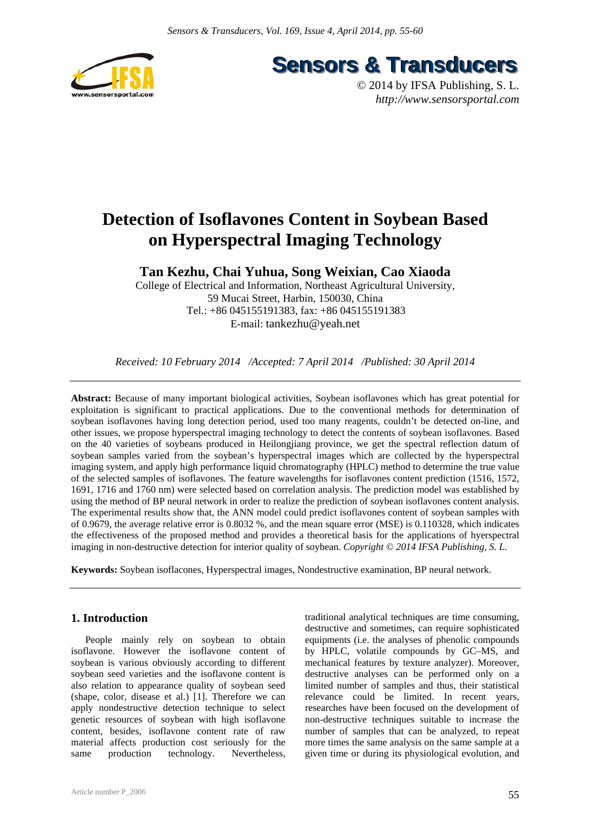



# **Detection of Isoflavones Content in Soybean Based on Hyperspectral Imaging Technology**

**Tan Kezhu, Chai Yuhua, Song Weixian, Cao Xiaoda** 

College of Electrical and Information, Northeast Agricultural University, 59 Mucai Street, Harbin, 150030, China Tel.: +86 045155191383, fax: +86 045155191383 E-mail: tankezhu@yeah.net

*Received: 10 February 2014 /Accepted: 7 April 2014 /Published: 30 April 2014* 

**Abstract:** Because of many important biological activities, Soybean isoflavones which has great potential for exploitation is significant to practical applications. Due to the conventional methods for determination of soybean isoflavones having long detection period, used too many reagents, couldn't be detected on-line, and other issues, we propose hyperspectral imaging technology to detect the contents of soybean isoflavones. Based on the 40 varieties of soybeans produced in Heilongjiang province, we get the spectral reflection datum of soybean samples varied from the soybean's hyperspectral images which are collected by the hyperspectral imaging system, and apply high performance liquid chromatography (HPLC) method to determine the true value of the selected samples of isoflavones. The feature wavelengths for isoflavones content prediction (1516, 1572, 1691, 1716 and 1760 nm) were selected based on correlation analysis. The prediction model was established by using the method of BP neural network in order to realize the prediction of soybean isoflavones content analysis. The experimental results show that, the ANN model could predict isoflavones content of soybean samples with of 0.9679, the average relative error is 0.8032 %, and the mean square error (MSE) is 0.110328, which indicates the effectiveness of the proposed method and provides a theoretical basis for the applications of hyerspectral imaging in non-destructive detection for interior quality of soybean. *Copyright © 2014 IFSA Publishing, S. L.*

**Keywords:** Soybean isoflacones, Hyperspectral images, Nondestructive examination, BP neural network.

## **1. Introduction**

People mainly rely on soybean to obtain isoflavone. However the isoflavone content of soybean is various obviously according to different soybean seed varieties and the isoflavone content is also relation to appearance quality of soybean seed (shape, color, disease et al.) [1]. Therefore we can apply nondestructive detection technique to select genetic resources of soybean with high isoflavone content, besides, isoflavone content rate of raw material affects production cost seriously for the same production technology. Nevertheless,

traditional analytical techniques are time consuming, destructive and sometimes, can require sophisticated equipments (i.e. the analyses of phenolic compounds by HPLC, volatile compounds by GC–MS, and mechanical features by texture analyzer). Moreover, destructive analyses can be performed only on a limited number of samples and thus, their statistical relevance could be limited. In recent years, researches have been focused on the development of non-destructive techniques suitable to increase the number of samples that can be analyzed, to repeat more times the same analysis on the same sample at a given time or during its physiological evolution, and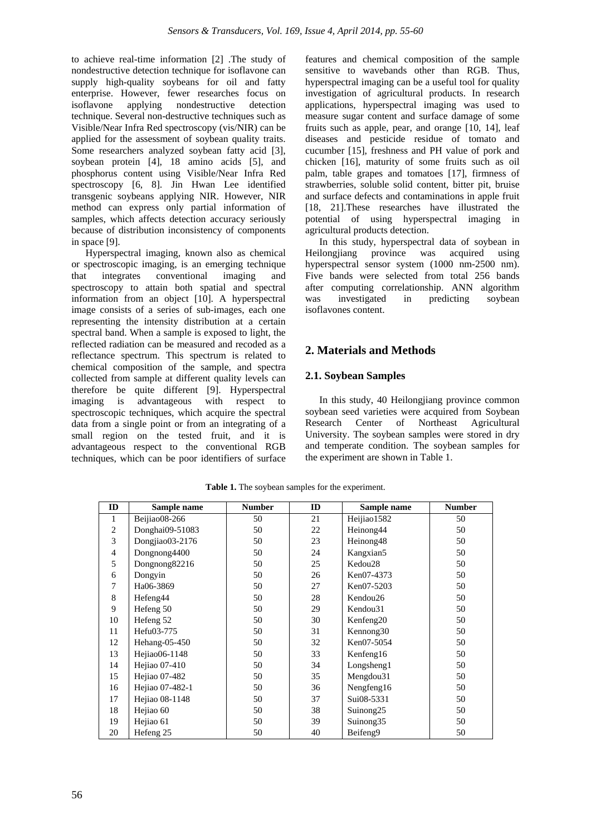to achieve real-time information [2] .The study of nondestructive detection technique for isoflavone can supply high-quality soybeans for oil and fatty enterprise. However, fewer researches focus on isoflavone applying nondestructive detection technique. Several non-destructive techniques such as Visible/Near Infra Red spectroscopy (vis/NIR) can be applied for the assessment of soybean quality traits. Some researchers analyzed soybean fatty acid [3], soybean protein [4], 18 amino acids [5], and phosphorus content using Visible/Near Infra Red spectroscopy [6, 8]. Jin Hwan Lee identified transgenic soybeans applying NIR. However, NIR method can express only partial information of samples, which affects detection accuracy seriously because of distribution inconsistency of components in space [9].

Hyperspectral imaging, known also as chemical or spectroscopic imaging, is an emerging technique that integrates conventional imaging and spectroscopy to attain both spatial and spectral information from an object [10]. A hyperspectral image consists of a series of sub-images, each one representing the intensity distribution at a certain spectral band. When a sample is exposed to light, the reflected radiation can be measured and recoded as a reflectance spectrum. This spectrum is related to chemical composition of the sample, and spectra collected from sample at different quality levels can therefore be quite different [9]. Hyperspectral imaging is advantageous with respect to spectroscopic techniques, which acquire the spectral data from a single point or from an integrating of a small region on the tested fruit, and it is advantageous respect to the conventional RGB techniques, which can be poor identifiers of surface

features and chemical composition of the sample sensitive to wavebands other than RGB. Thus, hyperspectral imaging can be a useful tool for quality investigation of agricultural products. In research applications, hyperspectral imaging was used to measure sugar content and surface damage of some fruits such as apple, pear, and orange [10, 14], leaf diseases and pesticide residue of tomato and cucumber [15], freshness and PH value of pork and chicken [16], maturity of some fruits such as oil palm, table grapes and tomatoes [17], firmness of strawberries, soluble solid content, bitter pit, bruise and surface defects and contaminations in apple fruit [18, 21].These researches have illustrated the potential of using hyperspectral imaging in agricultural products detection.

In this study, hyperspectral data of soybean in Heilongjiang province was acquired using hyperspectral sensor system (1000 nm-2500 nm). Five bands were selected from total 256 bands after computing correlationship. ANN algorithm was investigated in predicting soybean isoflavones content.

# **2. Materials and Methods**

# **2.1. Soybean Samples**

In this study, 40 Heilongjiang province common soybean seed varieties were acquired from Soybean Research Center of Northeast Agricultural University. The soybean samples were stored in dry and temperate condition. The soybean samples for the experiment are shown in Table 1.

| ID             | Sample name     | <b>Number</b> | ID | Sample name           | <b>Number</b> |
|----------------|-----------------|---------------|----|-----------------------|---------------|
| 1              | Beijiao08-266   | 50            | 21 | Heijiao1582           | 50            |
| $\overline{c}$ | Donghai09-51083 | 50            | 22 | Heinong44             | 50            |
| 3              | Dongjiao03-2176 | 50            | 23 | Heinong48             | 50            |
| $\overline{4}$ | Dongnong4400    | 50            | 24 | Kangxian5             | 50            |
| 5              | Dongnong82216   | 50            | 25 | Kedou28               | 50            |
| 6              | Dongyin         | 50            | 26 | Ken07-4373            | 50            |
| 7              | Ha06-3869       | 50            | 27 | Ken07-5203            | 50            |
| 8              | Hefeng44        | 50            | 28 | Kendou26              | 50            |
| 9              | Hefeng 50       | 50            | 29 | Kendou31              | 50            |
| 10             | Hefeng 52       | 50            | 30 | Kenfeng <sub>20</sub> | 50            |
| 11             | Hefu03-775      | 50            | 31 | Kennong <sub>30</sub> | 50            |
| 12             | Hehang-05-450   | 50            | 32 | Ken07-5054            | 50            |
| 13             | Hejiao06-1148   | 50            | 33 | Kenfeng16             | 50            |
| 14             | Hejiao 07-410   | 50            | 34 | Longsheng1            | 50            |
| 15             | Hejiao 07-482   | 50            | 35 | Mengdou <sub>31</sub> | 50            |
| 16             | Hejiao 07-482-1 | 50            | 36 | Nengfeng16            | 50            |
| 17             | Hejiao 08-1148  | 50            | 37 | Sui08-5331            | 50            |
| 18             | Hejiao 60       | 50            | 38 | Suinong <sub>25</sub> | 50            |
| 19             | Hejiao 61       | 50            | 39 | Suinong35             | 50            |
| 20             | Hefeng 25       | 50            | 40 | Beifeng9              | 50            |

**Table 1.** The soybean samples for the experiment.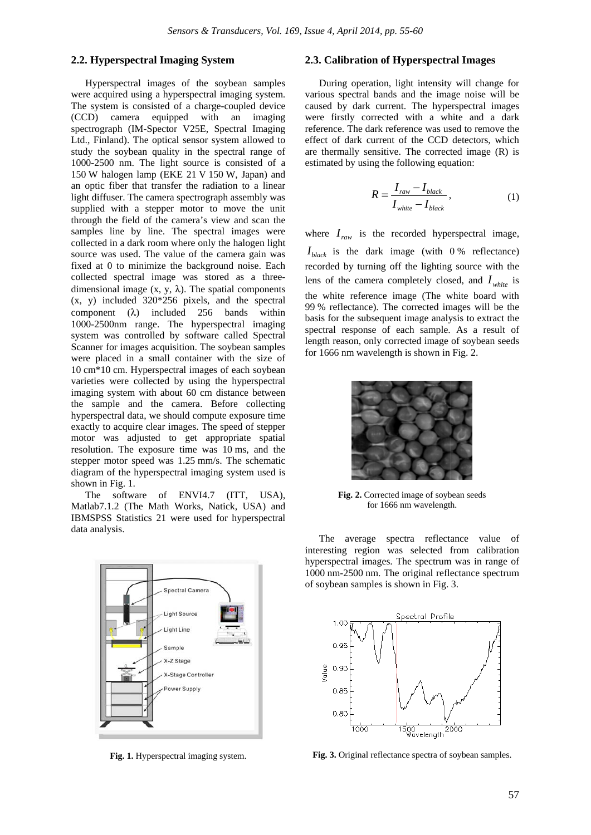#### **2.2. Hyperspectral Imaging System**

Hyperspectral images of the soybean samples were acquired using a hyperspectral imaging system. The system is consisted of a charge-coupled device (CCD) camera equipped with an imaging spectrograph (IM-Spector V25E, Spectral Imaging Ltd., Finland). The optical sensor system allowed to study the soybean quality in the spectral range of 1000-2500 nm. The light source is consisted of a 150 W halogen lamp (EKE 21 V 150 W, Japan) and an optic fiber that transfer the radiation to a linear light diffuser. The camera spectrograph assembly was supplied with a stepper motor to move the unit through the field of the camera's view and scan the samples line by line. The spectral images were collected in a dark room where only the halogen light source was used. The value of the camera gain was fixed at 0 to minimize the background noise. Each collected spectral image was stored as a threedimensional image  $(x, y, \lambda)$ . The spatial components (x, y) included 320\*256 pixels, and the spectral component (λ) included 256 bands within 1000-2500nm range. The hyperspectral imaging system was controlled by software called Spectral Scanner for images acquisition. The soybean samples were placed in a small container with the size of 10 cm\*10 cm. Hyperspectral images of each soybean varieties were collected by using the hyperspectral imaging system with about 60 cm distance between the sample and the camera. Before collecting hyperspectral data, we should compute exposure time exactly to acquire clear images. The speed of stepper motor was adjusted to get appropriate spatial resolution. The exposure time was 10 ms, and the stepper motor speed was 1.25 mm/s. The schematic diagram of the hyperspectral imaging system used is shown in Fig. 1.

The software of ENVI4.7 (ITT, USA), Matlab7.1.2 (The Math Works, Natick, USA) and IBMSPSS Statistics 21 were used for hyperspectral data analysis.



**Fig. 1.** Hyperspectral imaging system.

## **2.3. Calibration of Hyperspectral Images**

During operation, light intensity will change for various spectral bands and the image noise will be caused by dark current. The hyperspectral images were firstly corrected with a white and a dark reference. The dark reference was used to remove the effect of dark current of the CCD detectors, which are thermally sensitive. The corrected image (R) is estimated by using the following equation:

$$
R = \frac{I_{raw} - I_{black}}{I_{white} - I_{black}},
$$
\n(1)

where  $I_{raw}$  is the recorded hyperspectral image,  $I_{black}$  is the dark image (with 0% reflectance) recorded by turning off the lighting source with the lens of the camera completely closed, and  $I_{white}$  is the white reference image (The white board with 99 % reflectance). The corrected images will be the basis for the subsequent image analysis to extract the spectral response of each sample. As a result of length reason, only corrected image of soybean seeds for 1666 nm wavelength is shown in Fig. 2.



**Fig. 2.** Corrected image of soybean seeds for 1666 nm wavelength.

The average spectra reflectance value of interesting region was selected from calibration hyperspectral images. The spectrum was in range of 1000 nm-2500 nm. The original reflectance spectrum of soybean samples is shown in Fig. 3.



**Fig. 3.** Original reflectance spectra of soybean samples.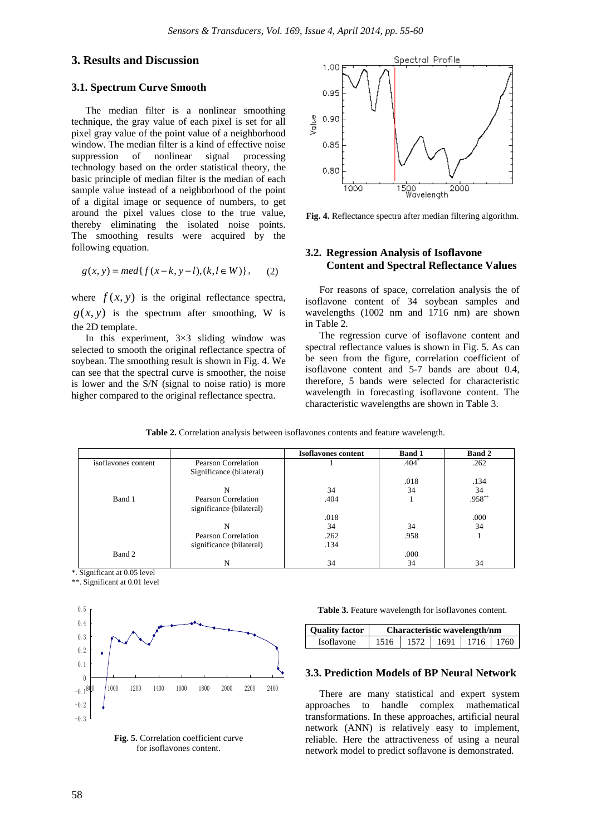## **3. Results and Discussion**

#### **3.1. Spectrum Curve Smooth**

The median filter is a nonlinear smoothing technique, the gray value of each pixel is set for all pixel gray value of the point value of a neighborhood window. The median filter is a kind of effective noise suppression of nonlinear signal processing technology based on the order statistical theory, the basic principle of median filter is the median of each sample value instead of a neighborhood of the point of a digital image or sequence of numbers, to get around the pixel values close to the true value, thereby eliminating the isolated noise points. The smoothing results were acquired by the following equation.

$$
g(x, y) = med{f(x-k, y-l), (k, l \in W)}, (2)
$$

where  $f(x, y)$  is the original reflectance spectra,  $g(x, y)$  is the spectrum after smoothing, W is the 2D template.

In this experiment, 3×3 sliding window was selected to smooth the original reflectance spectra of soybean. The smoothing result is shown in Fig. 4. We can see that the spectral curve is smoother, the noise is lower and the S/N (signal to noise ratio) is more higher compared to the original reflectance spectra.



**Fig. 4.** Reflectance spectra after median filtering algorithm.

## **3.2. Regression Analysis of Isoflavone Content and Spectral Reflectance Values**

For reasons of space, correlation analysis the of isoflavone content of 34 soybean samples and wavelengths (1002 nm and 1716 nm) are shown in Table 2.

The regression curve of isoflavone content and spectral reflectance values is shown in Fig. 5. As can be seen from the figure, correlation coefficient of isoflavone content and 5-7 bands are about 0.4, therefore, 5 bands were selected for characteristic wavelength in forecasting isoflavone content. The characteristic wavelengths are shown in Table 3.

**Table 2.** Correlation analysis between isoflavones contents and feature wavelength.

|                       |                          | <b>Isoflavones content</b> | <b>Band 1</b> | <b>Band 2</b> |
|-----------------------|--------------------------|----------------------------|---------------|---------------|
| is of layones content | Pearson Correlation      |                            | $.404*$       | .262          |
|                       | Significance (bilateral) |                            |               |               |
|                       |                          |                            | .018          | .134          |
|                       | N                        | 34                         | 34            | 34            |
| Band 1                | Pearson Correlation      | .404                       |               | $.958**$      |
|                       | significance (bilateral) |                            |               |               |
|                       |                          | .018                       |               | .000          |
|                       | N                        | 34                         | 34            | 34            |
|                       | Pearson Correlation      | .262                       | .958          |               |
|                       | significance (bilateral) | .134                       |               |               |
| Band 2                |                          |                            | .000          |               |
|                       |                          | 34                         | 34            | 34            |

\*. Significant at 0.05 level

\*\*. Significant at 0.01 level



**Fig. 5.** Correlation coefficient curve for isoflavones content.

**Table 3.** Feature wavelength for isoflavones content.

| <b>Ouality factor</b> | Characteristic wavelength/nm |           |  |             |  |  |
|-----------------------|------------------------------|-----------|--|-------------|--|--|
| <b>Isoflavone</b>     | 1516                         | 1572 1691 |  | 1716   1760 |  |  |

#### **3.3. Prediction Models of BP Neural Network**

There are many statistical and expert system approaches to handle complex mathematical transformations. In these approaches, artificial neural network (ANN) is relatively easy to implement, reliable. Here the attractiveness of using a neural network model to predict soflavone is demonstrated.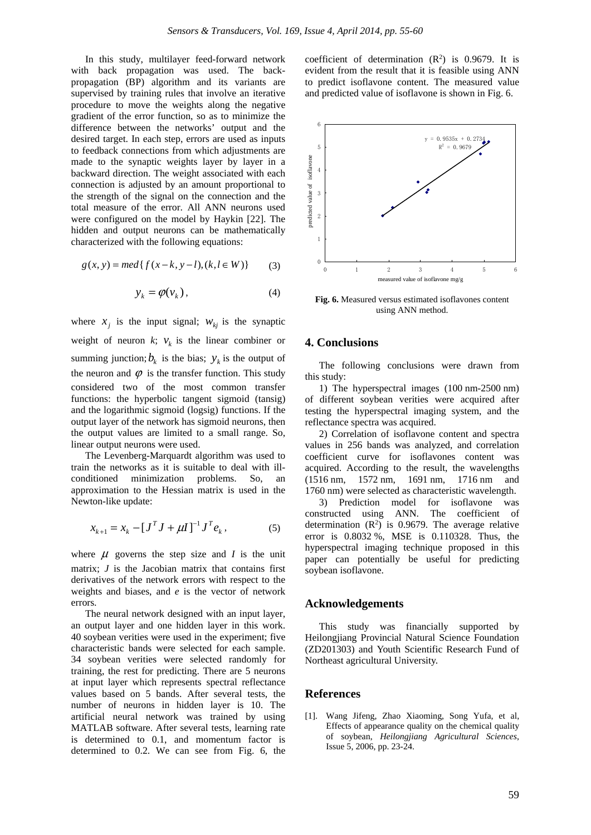In this study, multilayer feed-forward network with back propagation was used. The backpropagation (BP) algorithm and its variants are supervised by training rules that involve an iterative procedure to move the weights along the negative gradient of the error function, so as to minimize the difference between the networks' output and the desired target. In each step, errors are used as inputs to feedback connections from which adjustments are made to the synaptic weights layer by layer in a backward direction. The weight associated with each connection is adjusted by an amount proportional to the strength of the signal on the connection and the total measure of the error. All ANN neurons used were configured on the model by Haykin [22]. The hidden and output neurons can be mathematically characterized with the following equations:

$$
g(x, y) = med\{f(x-k, y-l), (k, l \in W)\}\tag{3}
$$

$$
y_k = \varphi(v_k), \tag{4}
$$

where  $x_i$  is the input signal;  $w_{ki}$  is the synaptic weight of neuron  $k$ ;  $v_k$  is the linear combiner or summing junction;  $b_k$  is the bias;  $y_k$  is the output of the neuron and  $\varphi$  is the transfer function. This study considered two of the most common transfer functions: the hyperbolic tangent sigmoid (tansig) and the logarithmic sigmoid (logsig) functions. If the output layer of the network has sigmoid neurons, then the output values are limited to a small range. So, linear output neurons were used.

The Levenberg-Marquardt algorithm was used to train the networks as it is suitable to deal with illconditioned minimization problems. So, an approximation to the Hessian matrix is used in the Newton-like update:

$$
x_{k+1} = x_k - [J^T J + \mu I]^{-1} J^T e_k, \qquad (5)
$$

where  $\mu$  governs the step size and *I* is the unit matrix; *J* is the Jacobian matrix that contains first derivatives of the network errors with respect to the weights and biases, and *e* is the vector of network errors.

The neural network designed with an input layer, an output layer and one hidden layer in this work. 40 soybean verities were used in the experiment; five characteristic bands were selected for each sample. 34 soybean verities were selected randomly for training, the rest for predicting. There are 5 neurons at input layer which represents spectral reflectance values based on 5 bands. After several tests, the number of neurons in hidden layer is 10. The artificial neural network was trained by using MATLAB software. After several tests, learning rate is determined to 0.1, and momentum factor is determined to 0.2. We can see from Fig. 6, the

coefficient of determination  $(R^2)$  is 0.9679. It is evident from the result that it is feasible using ANN to predict isoflavone content. The measured value and predicted value of isoflavone is shown in Fig. 6.



**Fig. 6.** Measured versus estimated isoflavones content using ANN method.

## **4. Conclusions**

The following conclusions were drawn from this study:

1) The hyperspectral images (100 nm-2500 nm) of different soybean verities were acquired after testing the hyperspectral imaging system, and the reflectance spectra was acquired.

2) Correlation of isoflavone content and spectra values in 256 bands was analyzed, and correlation coefficient curve for isoflavones content was acquired. According to the result, the wavelengths (1516 nm, 1572 nm, 1691 nm, 1716 nm and 1760 nm) were selected as characteristic wavelength.

3) Prediction model for isoflavone was constructed using ANN. The coefficient of determination  $(R^2)$  is 0.9679. The average relative error is 0.8032 %, MSE is 0.110328. Thus, the hyperspectral imaging technique proposed in this paper can potentially be useful for predicting soybean isoflavone.

#### **Acknowledgements**

This study was financially supported by Heilongjiang Provincial Natural Science Foundation (ZD201303) and Youth Scientific Research Fund of Northeast agricultural University.

#### **References**

[1]. Wang Jifeng, Zhao Xiaoming, Song Yufa, et al, Effects of appearance quality on the chemical quality of soybean, *Heilongjiang Agricultural Sciences*, Issue 5, 2006, pp. 23-24.